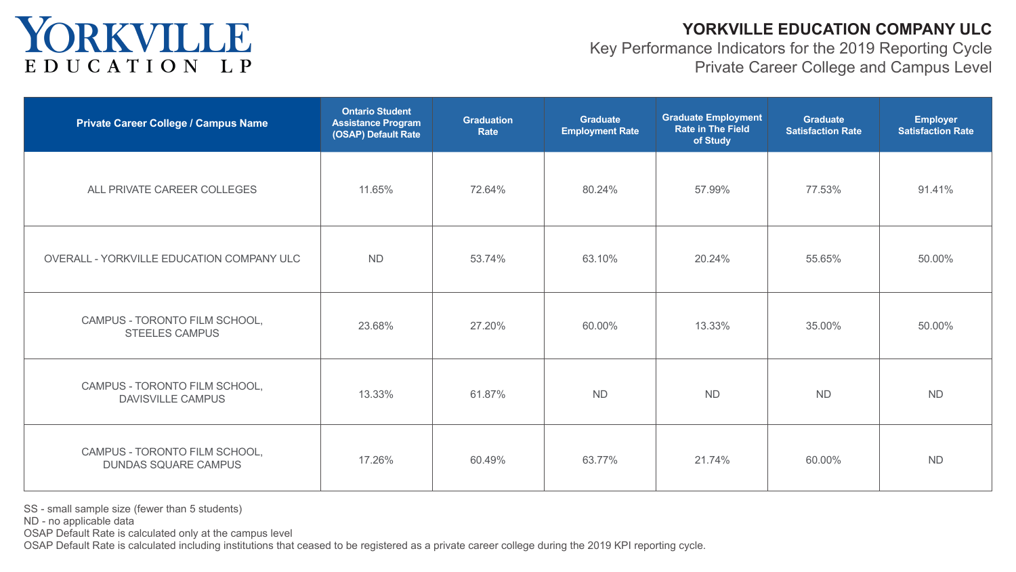### **YORKVILLE EDUCATION COMPANY ULC**

Key Performance Indicators for the 2019 Reporting Cycle Private Career College and Campus Level



| r<br>Rate |  |
|-----------|--|
|           |  |
| ֘֒        |  |
| l         |  |
|           |  |
| l         |  |
|           |  |
|           |  |

SS - small sample size (fewer than 5 students)

ND - no applicable data

OSAP Default Rate is calculated only at the campus level

OSAP Default Rate is calculated including institutions that ceased to be registered as a private career college during the 2019 KPI reporting cycle.

### YORKVILLE EDUCATION LP

| <b>Private Career College / Campus Name</b>                  | <b>Ontario Student</b><br>Assistance Program<br>(OSAP) Default Rate | <b>Graduation</b><br><b>Rate</b> | <b>Graduate</b><br><b>Employment Rate</b> | <b>Graduate Employment</b><br><b>Rate in The Field</b><br>of Study | <b>Graduate</b><br><b>Satisfaction Rate</b> | <b>Employer</b><br><b>Satisfaction Rate</b> |
|--------------------------------------------------------------|---------------------------------------------------------------------|----------------------------------|-------------------------------------------|--------------------------------------------------------------------|---------------------------------------------|---------------------------------------------|
| ALL PRIVATE CAREER COLLEGES                                  | 11.65%                                                              | 72.64%                           | 80.24%                                    | 57.99%                                                             | 77.53%                                      | 91.41%                                      |
| OVERALL - YORKVILLE EDUCATION COMPANY ULC                    | <b>ND</b>                                                           | 53.74%                           | 63.10%                                    | 20.24%                                                             | 55.65%                                      | 50.00%                                      |
| CAMPUS - TORONTO FILM SCHOOL,<br><b>STEELES CAMPUS</b>       | 23.68%                                                              | 27.20%                           | 60.00%                                    | 13.33%                                                             | 35.00%                                      | 50.00%                                      |
| CAMPUS - TORONTO FILM SCHOOL,<br><b>DAVISVILLE CAMPUS</b>    | 13.33%                                                              | 61.87%                           | <b>ND</b>                                 | <b>ND</b>                                                          | <b>ND</b>                                   | <b>ND</b>                                   |
| CAMPUS - TORONTO FILM SCHOOL,<br><b>DUNDAS SQUARE CAMPUS</b> | 17.26%                                                              | 60.49%                           | 63.77%                                    | 21.74%                                                             | 60.00%                                      | <b>ND</b>                                   |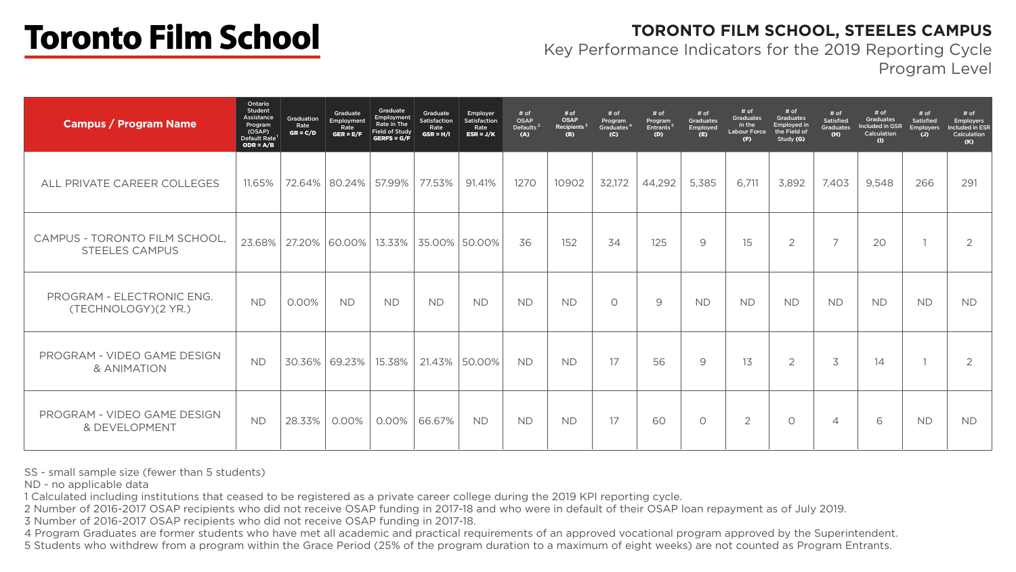#### **TORONTO FILM SCHOOL, STEELES CAMPUS** Key Performance Indicators for the 2019 Reporting Cycle Program Level



SS - small sample size (fewer than 5 students)

ND - no applicable data

1 Calculated including institutions that ceased to be registered as a private career college during the 2019 KPI reporting cycle. 2 Number of 2016-2017 OSAP recipients who did not receive OSAP funding in 2017-18 and who were in default of their OSAP loan repayment as of July 2019. 3 Number of 2016-2017 OSAP recipients who did not receive OSAP funding in 2017-18.

4 Program Graduates are former students who have met all academic and practical requirements of an approved vocational program approved by the Superintendent. 5 Students who withdrew from a program within the Grace Period (25% of the program duration to a maximum of eight weeks) are not counted as Program Entrants.

# **Toronto Film School**

| <b>Campus / Program Name</b>                     | Ontario<br>Student<br>Assistance<br>Program<br>(OSAP)<br>Default Rate <sup>1</sup><br>$ODR = A/B$ | Graduation<br>Rate<br>$GR = C/D$ | Graduate<br>Employment<br>Rate<br>$GER = E/F$ | Graduate<br>Employment<br>Rate in The<br>$\mid$ Field of Study $\mid$<br>GERFS = $G/F$ | Graduate<br>Satisfaction<br>Rate<br>$GSR = H/I$ | Employer<br>Satisfaction<br>Rate<br>$ESR = J/K$ | # of<br>OSAP<br>Defaults <sup>2</sup><br>(A) | # of<br><b>OSAP</b><br>Recipients <sup>3</sup><br>(B) | # of<br>Program<br>Graduates <sup>4</sup><br>(C) | # of<br>Program<br>Entrants <sup>5</sup><br>(D) | # of<br><b>Graduates</b><br>Employed<br>(E) | # of<br><b>Graduates</b><br>in the<br><b>Labour Force</b><br>(F) | # of<br><b>Graduates</b><br><b>Employed in</b><br>the Field of<br>Study (G) | # of<br><b>Satisfied</b><br><b>Graduates</b><br>(H) | # of<br><b>Graduates</b><br>Included in GSR<br>Calculation<br>$\bigoplus$ | # of<br><b>Satisfied</b><br><b>Employers</b><br>(J) |
|--------------------------------------------------|---------------------------------------------------------------------------------------------------|----------------------------------|-----------------------------------------------|----------------------------------------------------------------------------------------|-------------------------------------------------|-------------------------------------------------|----------------------------------------------|-------------------------------------------------------|--------------------------------------------------|-------------------------------------------------|---------------------------------------------|------------------------------------------------------------------|-----------------------------------------------------------------------------|-----------------------------------------------------|---------------------------------------------------------------------------|-----------------------------------------------------|
| ALL PRIVATE CAREER COLLEGES                      | 11.65%                                                                                            | 72.64%                           | 80.24%                                        | 57.99%                                                                                 | 77.53%                                          | 91.41%                                          | 1270                                         | 10902                                                 | 32,172                                           | 44,292                                          | 5,385                                       | 6,711                                                            | 3,892                                                                       | 7,403                                               | 9,548                                                                     | 266                                                 |
| CAMPUS - TORONTO FILM SCHOOL<br>STEELES CAMPUS   | 23.68%                                                                                            |                                  | 27.20% 60.00%                                 |                                                                                        |                                                 | 13.33% 35.00% 50.00%                            | 36                                           | 152                                                   | 34                                               | 125                                             | 9                                           | 15                                                               | $\overline{2}$                                                              | $\overline{\phantom{0}}$                            | 20                                                                        |                                                     |
| PROGRAM - ELECTRONIC ENG.<br>(TECHNOLOGY)(2 YR.) | <b>ND</b>                                                                                         | 0.00%                            | <b>ND</b>                                     | <b>ND</b>                                                                              | <b>ND</b>                                       | <b>ND</b>                                       | <b>ND</b>                                    | <b>ND</b>                                             | $\bigcirc$                                       | 9                                               | <b>ND</b>                                   | <b>ND</b>                                                        | <b>ND</b>                                                                   | <b>ND</b>                                           | <b>ND</b>                                                                 | <b>ND</b>                                           |
| PROGRAM - VIDEO GAME DESIGN<br>& ANIMATION       | <b>ND</b>                                                                                         | 30.36%                           | 69.23%                                        | 15.38%                                                                                 | $21.43\%$                                       | 50.00%                                          | <b>ND</b>                                    | <b>ND</b>                                             | 17                                               | 56                                              | 9                                           | 13                                                               | $\overline{2}$                                                              | 3                                                   | 14                                                                        |                                                     |
| PROGRAM - VIDEO GAME DESIGN<br>& DEVELOPMENT     | <b>ND</b>                                                                                         | 28.33%                           | 0.00%                                         | 0.00%                                                                                  | 66.67%                                          | <b>ND</b>                                       | <b>ND</b>                                    | <b>ND</b>                                             | 17                                               | 60                                              | $\bigcirc$                                  | $\overline{2}$                                                   | $\overline{O}$                                                              | $\overline{4}$                                      | 6                                                                         | <b>ND</b>                                           |

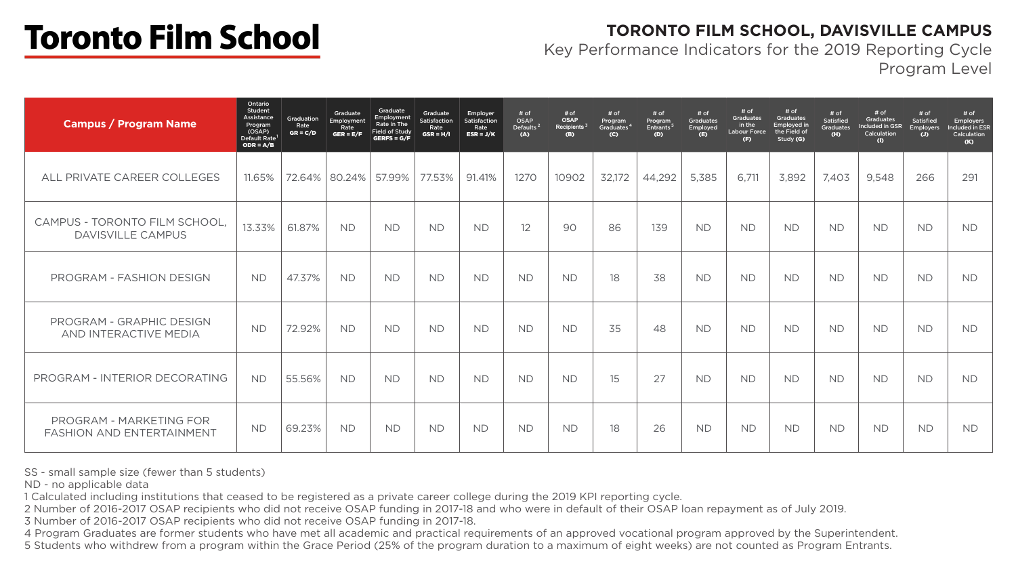#### **TORONTO FILM SCHOOL, DAVISVILLE CAMPUS** Key Performance Indicators for the 2019 Reporting Cycle Program Level



SS - small sample size (fewer than 5 students)

ND - no applicable data

1 Calculated including institutions that ceased to be registered as a private career college during the 2019 KPI reporting cycle. 2 Number of 2016-2017 OSAP recipients who did not receive OSAP funding in 2017-18 and who were in default of their OSAP loan repayment as of July 2019. 3 Number of 2016-2017 OSAP recipients who did not receive OSAP funding in 2017-18.

4 Program Graduates are former students who have met all academic and practical requirements of an approved vocational program approved by the Superintendent. 5 Students who withdrew from a program within the Grace Period (25% of the program duration to a maximum of eight weeks) are not counted as Program Entrants.

# **Toronto Film School**

| <b>Campus / Program Name</b>                                | Ontario<br>Student<br>Assistance<br>Program<br>(OSAP)<br>Default Rate <sup>1</sup><br>$ODR = A/B$ | Graduation<br>Rate<br>$GR = C/D$ | Graduate<br>Employment<br>Rate<br>GER = $E/F$ | Graduate<br>Employment<br>Rate in The<br>Field of Study<br>GERFS = $G/F$ | Graduate<br>Satisfaction<br>Rate<br>$GSR = H/I$ | Employer<br>Satisfaction<br>Rate<br>$ESR = J/K$ | # of<br><b>OSAP</b><br>Defaults <sup>2</sup><br>(A) | # of<br><b>OSAP</b><br>Recipients <sup>3</sup><br>(B) | # of<br>Program<br>Graduates <sup>4</sup><br>(C) | # of<br>Program<br>Entrants <sup>5</sup><br>(D) | # of<br><b>Graduates</b><br>Employed<br>(E) | # of<br><b>Graduates</b><br>in the<br><b>Labour Force</b><br>(F) | # of<br><b>Graduates</b><br><b>Employed in</b><br>the Field of<br>Study (G) | # of<br><b>Satisfied</b><br><b>Graduates</b><br>(H) | # of<br><b>Graduates</b><br>Included in GSR<br>Calculation<br>(I) | # of<br><b>Satisfied</b><br><b>Employers</b><br>$\overline{u}$ | # of<br>Employe<br>Included in<br>Calculati<br>(K) |
|-------------------------------------------------------------|---------------------------------------------------------------------------------------------------|----------------------------------|-----------------------------------------------|--------------------------------------------------------------------------|-------------------------------------------------|-------------------------------------------------|-----------------------------------------------------|-------------------------------------------------------|--------------------------------------------------|-------------------------------------------------|---------------------------------------------|------------------------------------------------------------------|-----------------------------------------------------------------------------|-----------------------------------------------------|-------------------------------------------------------------------|----------------------------------------------------------------|----------------------------------------------------|
| L PRIVATE CAREER COLLEGES<br>ALL                            | 11.65%                                                                                            |                                  | 72.64%   80.24%                               | 57.99%                                                                   | 77.53%                                          | 91.41%                                          | 1270                                                | 10902                                                 | 32,172                                           | 44,292                                          | 5,385                                       | 6,711                                                            | 3,892                                                                       | 7,403                                               | 9,548                                                             | 266                                                            | 291                                                |
| CAMPUS - TORONTO FILM SCHOOL,<br>DAVISVILLE CAMPUS          | 13.33%                                                                                            | 61.87%                           | <b>ND</b>                                     | <b>ND</b>                                                                | <b>ND</b>                                       | <b>ND</b>                                       | 12                                                  | 90                                                    | 86                                               | 139                                             | <b>ND</b>                                   | <b>ND</b>                                                        | <b>ND</b>                                                                   | <b>ND</b>                                           | <b>ND</b>                                                         | <b>ND</b>                                                      | <b>ND</b>                                          |
| PROGRAM - FASHION DESIGN                                    | <b>ND</b>                                                                                         | 47.37%                           | <b>ND</b>                                     | <b>ND</b>                                                                | <b>ND</b>                                       | <b>ND</b>                                       | <b>ND</b>                                           | <b>ND</b>                                             | 18                                               | 38                                              | <b>ND</b>                                   | <b>ND</b>                                                        | <b>ND</b>                                                                   | <b>ND</b>                                           | <b>ND</b>                                                         | <b>ND</b>                                                      | <b>ND</b>                                          |
| PROGRAM - GRAPHIC DESIGN<br>AND INTERACTIVE MEDIA           | <b>ND</b>                                                                                         | 72.92%                           | <b>ND</b>                                     | <b>ND</b>                                                                | <b>ND</b>                                       | <b>ND</b>                                       | <b>ND</b>                                           | <b>ND</b>                                             | 35                                               | 48                                              | <b>ND</b>                                   | <b>ND</b>                                                        | <b>ND</b>                                                                   | <b>ND</b>                                           | <b>ND</b>                                                         | <b>ND</b>                                                      | <b>ND</b>                                          |
| PROGRAM - INTERIOR DECORATING                               | <b>ND</b>                                                                                         | 55.56%                           | <b>ND</b>                                     | <b>ND</b>                                                                | <b>ND</b>                                       | <b>ND</b>                                       | <b>ND</b>                                           | <b>ND</b>                                             | 15                                               | 27                                              | <b>ND</b>                                   | <b>ND</b>                                                        | <b>ND</b>                                                                   | <b>ND</b>                                           | <b>ND</b>                                                         | <b>ND</b>                                                      | <b>ND</b>                                          |
| PROGRAM - MARKETING FOR<br><b>FASHION AND ENTERTAINMENT</b> | <b>ND</b>                                                                                         | 69.23%                           | <b>ND</b>                                     | <b>ND</b>                                                                | <b>ND</b>                                       | <b>ND</b>                                       | <b>ND</b>                                           | <b>ND</b>                                             | 18                                               | 26                                              | <b>ND</b>                                   | <b>ND</b>                                                        | <b>ND</b>                                                                   | <b>ND</b>                                           | <b>ND</b>                                                         | <b>ND</b>                                                      | <b>ND</b>                                          |